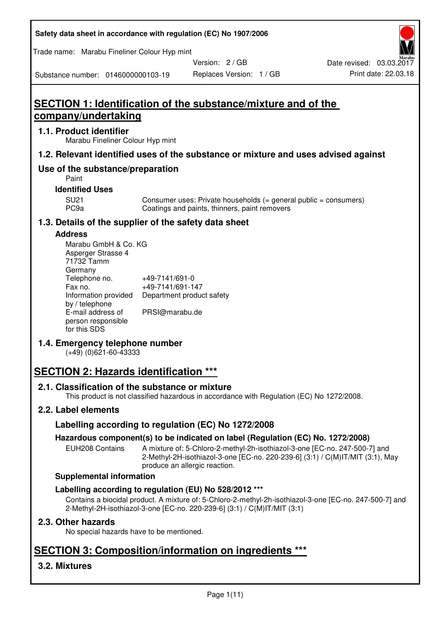| Safety data sheet in accordance with regulation (EC) No 1907/2006 |  |
|-------------------------------------------------------------------|--|
|-------------------------------------------------------------------|--|

Trade name: Marabu Fineliner Colour Hyp mint

Version: 2 / GB



Substance number: 0146000000103-19

# **SECTION 1: Identification of the substance/mixture and of the company/undertaking**

## **1.1. Product identifier**

Marabu Fineliner Colour Hyp mint

## **1.2. Relevant identified uses of the substance or mixture and uses advised against**

## **Use of the substance/preparation**

Paint

## **Identified Uses**

SU21 Consumer uses: Private households (= general public = consumers)<br>PC9a Coatings and paints, thinners, paint removers Coatings and paints, thinners, paint removers

## **1.3. Details of the supplier of the safety data sheet**

#### **Address**

| Marabu GmbH & Co. KG |                           |
|----------------------|---------------------------|
| Asperger Strasse 4   |                           |
| 71732 Tamm           |                           |
| Germany              |                           |
| Telephone no.        | +49-7141/691-0            |
| Fax no.              | +49-7141/691-147          |
| Information provided | Department product safety |
| by / telephone       |                           |
| E-mail address of    | PRSI@marabu.de            |
| person responsible   |                           |
| for this SDS         |                           |

## **1.4. Emergency telephone number**

(+49) (0)621-60-43333

# **SECTION 2: Hazards identification \*\*\***

## **2.1. Classification of the substance or mixture**

This product is not classified hazardous in accordance with Regulation (EC) No 1272/2008.

## **2.2. Label elements**

## **Labelling according to regulation (EC) No 1272/2008**

## **Hazardous component(s) to be indicated on label (Regulation (EC) No. 1272/2008)**

EUH208 Contains A mixture of: 5-Chloro-2-methyl-2h-isothiazol-3-one [EC-no. 247-500-7] and 2-Methyl-2H-isothiazol-3-one [EC-no. 220-239-6] (3:1) / C(M)IT/MIT (3:1), May produce an allergic reaction.

#### **Supplemental information**

## **Labelling according to regulation (EU) No 528/2012 \*\*\***

Contains a biocidal product. A mixture of: 5-Chloro-2-methyl-2h-isothiazol-3-one [EC-no. 247-500-7] and 2-Methyl-2H-isothiazol-3-one [EC-no. 220-239-6] (3:1) / C(M)IT/MIT (3:1)

## **2.3. Other hazards**

No special hazards have to be mentioned.

# **SECTION 3: Composition/information on ingredients \*\*\***

## **3.2. Mixtures**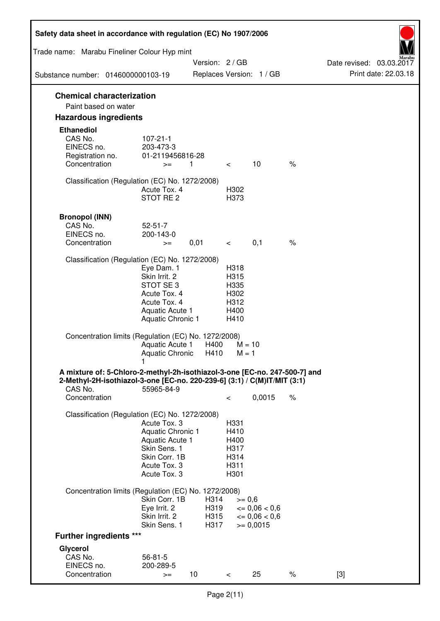| Safety data sheet in accordance with regulation (EC) No 1907/2006                                                                                      |                                                      |               |              |                          |      |                                                  |
|--------------------------------------------------------------------------------------------------------------------------------------------------------|------------------------------------------------------|---------------|--------------|--------------------------|------|--------------------------------------------------|
| Trade name: Marabu Fineliner Colour Hyp mint                                                                                                           |                                                      |               |              |                          |      |                                                  |
| Substance number: 0146000000103-19                                                                                                                     |                                                      | Version: 2/GB |              |                          |      | Date revised: 03.03.2017<br>Print date: 22.03.18 |
|                                                                                                                                                        |                                                      |               |              | Replaces Version: 1 / GB |      |                                                  |
| <b>Chemical characterization</b><br>Paint based on water                                                                                               |                                                      |               |              |                          |      |                                                  |
| <b>Hazardous ingredients</b>                                                                                                                           |                                                      |               |              |                          |      |                                                  |
| <b>Ethanediol</b>                                                                                                                                      |                                                      |               |              |                          |      |                                                  |
| CAS No.                                                                                                                                                | $107 - 21 - 1$                                       |               |              |                          |      |                                                  |
| EINECS no.                                                                                                                                             | 203-473-3<br>01-2119456816-28                        |               |              |                          |      |                                                  |
| Registration no.<br>Concentration                                                                                                                      | $>=$                                                 | 1             | $\lt$        | 10                       | $\%$ |                                                  |
|                                                                                                                                                        |                                                      |               |              |                          |      |                                                  |
| Classification (Regulation (EC) No. 1272/2008)                                                                                                         |                                                      |               |              |                          |      |                                                  |
|                                                                                                                                                        | Acute Tox. 4<br>STOT RE 2                            |               | H302<br>H373 |                          |      |                                                  |
|                                                                                                                                                        |                                                      |               |              |                          |      |                                                  |
| <b>Bronopol (INN)</b>                                                                                                                                  |                                                      |               |              |                          |      |                                                  |
| CAS No.<br>EINECS no.                                                                                                                                  | $52 - 51 - 7$<br>200-143-0                           |               |              |                          |      |                                                  |
| Concentration                                                                                                                                          | $>=$                                                 | 0,01          | $\lt$        | 0,1                      | $\%$ |                                                  |
|                                                                                                                                                        |                                                      |               |              |                          |      |                                                  |
| Classification (Regulation (EC) No. 1272/2008)                                                                                                         | Eye Dam. 1                                           |               | H318         |                          |      |                                                  |
|                                                                                                                                                        | Skin Irrit. 2                                        |               | H315         |                          |      |                                                  |
|                                                                                                                                                        | STOT SE3                                             |               | H335         |                          |      |                                                  |
|                                                                                                                                                        | Acute Tox. 4                                         |               | H302         |                          |      |                                                  |
|                                                                                                                                                        | Acute Tox. 4<br>Aquatic Acute 1                      |               | H312<br>H400 |                          |      |                                                  |
|                                                                                                                                                        | Aquatic Chronic 1                                    |               | H410         |                          |      |                                                  |
| Concentration limits (Regulation (EC) No. 1272/2008)                                                                                                   |                                                      |               |              |                          |      |                                                  |
|                                                                                                                                                        | Aquatic Acute 1<br>Aquatic Chronic $H410$ M = 1<br>1 | H400          | $M = 10$     |                          |      |                                                  |
| A mixture of: 5-Chloro-2-methyl-2h-isothiazol-3-one [EC-no. 247-500-7] and<br>2-Methyl-2H-isothiazol-3-one [EC-no. 220-239-6] (3:1) / C(M)IT/MIT (3:1) |                                                      |               |              |                          |      |                                                  |
| CAS No.                                                                                                                                                | 55965-84-9                                           |               |              |                          |      |                                                  |
| Concentration                                                                                                                                          |                                                      |               | $\,<\,$      | 0,0015                   | $\%$ |                                                  |
| Classification (Regulation (EC) No. 1272/2008)                                                                                                         |                                                      |               |              |                          |      |                                                  |
|                                                                                                                                                        | Acute Tox. 3                                         |               | H331         |                          |      |                                                  |
|                                                                                                                                                        | Aquatic Chronic 1<br>Aquatic Acute 1                 |               | H410<br>H400 |                          |      |                                                  |
|                                                                                                                                                        | Skin Sens. 1                                         |               | H317         |                          |      |                                                  |
|                                                                                                                                                        | Skin Corr. 1B                                        |               | H314         |                          |      |                                                  |
|                                                                                                                                                        | Acute Tox. 3<br>Acute Tox. 3                         |               | H311<br>H301 |                          |      |                                                  |
|                                                                                                                                                        |                                                      |               |              |                          |      |                                                  |
| Concentration limits (Regulation (EC) No. 1272/2008)                                                                                                   |                                                      |               |              |                          |      |                                                  |
|                                                                                                                                                        | Skin Corr. 1B<br>Eye Irrit. 2                        | H314<br>H319  | $>= 0,6$     | $\epsilon = 0.06 < 0.6$  |      |                                                  |
|                                                                                                                                                        | Skin Irrit. 2                                        | H315          |              | $\epsilon = 0.06 < 0.6$  |      |                                                  |
|                                                                                                                                                        | Skin Sens. 1                                         | H317          |              | $>= 0,0015$              |      |                                                  |
| <b>Further ingredients ***</b>                                                                                                                         |                                                      |               |              |                          |      |                                                  |
| Glycerol                                                                                                                                               |                                                      |               |              |                          |      |                                                  |
| CAS No.                                                                                                                                                | $56 - 81 - 5$                                        |               |              |                          |      |                                                  |
| EINECS no.<br>Concentration                                                                                                                            | 200-289-5<br>$>=$                                    | 10            | $\,<\,$      | 25                       | $\%$ | $[3]$                                            |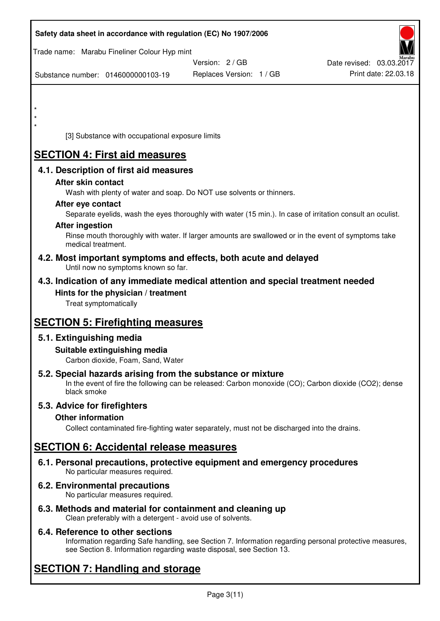| Safety data sheet in accordance with regulation (EC) No 1907/2006                                                       |                                                                                                            |                          |
|-------------------------------------------------------------------------------------------------------------------------|------------------------------------------------------------------------------------------------------------|--------------------------|
| Trade name: Marabu Fineliner Colour Hyp mint                                                                            | Version: 2 / GB                                                                                            | Date revised: 03.03.2017 |
| Substance number: 0146000000103-19                                                                                      | Replaces Version: 1 / GB                                                                                   | Print date: 22.03.18     |
|                                                                                                                         |                                                                                                            |                          |
| $\star$                                                                                                                 |                                                                                                            |                          |
| $\star$                                                                                                                 |                                                                                                            |                          |
| [3] Substance with occupational exposure limits                                                                         |                                                                                                            |                          |
| <b>SECTION 4: First aid measures</b>                                                                                    |                                                                                                            |                          |
| 4.1. Description of first aid measures                                                                                  |                                                                                                            |                          |
| After skin contact                                                                                                      |                                                                                                            |                          |
|                                                                                                                         | Wash with plenty of water and soap. Do NOT use solvents or thinners.                                       |                          |
| After eye contact                                                                                                       |                                                                                                            |                          |
| <b>After ingestion</b>                                                                                                  | Separate eyelids, wash the eyes thoroughly with water (15 min.). In case of irritation consult an oculist. |                          |
| medical treatment.                                                                                                      | Rinse mouth thoroughly with water. If larger amounts are swallowed or in the event of symptoms take        |                          |
| 4.2. Most important symptoms and effects, both acute and delayed<br>Until now no symptoms known so far.                 |                                                                                                            |                          |
| 4.3. Indication of any immediate medical attention and special treatment needed                                         |                                                                                                            |                          |
| Hints for the physician / treatment<br>Treat symptomatically                                                            |                                                                                                            |                          |
| <b>SECTION 5: Firefighting measures</b>                                                                                 |                                                                                                            |                          |
| 5.1. Extinguishing media                                                                                                |                                                                                                            |                          |
| Suitable extinguishing media<br>Carbon dioxide, Foam, Sand, Water                                                       |                                                                                                            |                          |
| 5.2. Special hazards arising from the substance or mixture<br>black smoke                                               | In the event of fire the following can be released: Carbon monoxide (CO); Carbon dioxide (CO2); dense      |                          |
| 5.3. Advice for firefighters                                                                                            |                                                                                                            |                          |
| <b>Other information</b>                                                                                                |                                                                                                            |                          |
|                                                                                                                         | Collect contaminated fire-fighting water separately, must not be discharged into the drains.               |                          |
| <b>SECTION 6: Accidental release measures</b>                                                                           |                                                                                                            |                          |
| 6.1. Personal precautions, protective equipment and emergency procedures<br>No particular measures required.            |                                                                                                            |                          |
| 6.2. Environmental precautions<br>No particular measures required.                                                      |                                                                                                            |                          |
| 6.3. Methods and material for containment and cleaning up<br>Clean preferably with a detergent - avoid use of solvents. |                                                                                                            |                          |

## **6.4. Reference to other sections**

Information regarding Safe handling, see Section 7. Information regarding personal protective measures, see Section 8. Information regarding waste disposal, see Section 13.

# **SECTION 7: Handling and storage**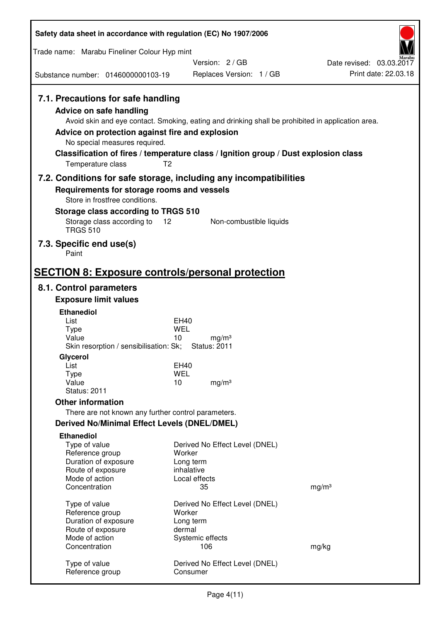| Safety data sheet in accordance with regulation (EC) No 1907/2006                                                                                                      |                                                                                                                                                                                                            |                          |  |  |  |
|------------------------------------------------------------------------------------------------------------------------------------------------------------------------|------------------------------------------------------------------------------------------------------------------------------------------------------------------------------------------------------------|--------------------------|--|--|--|
| Trade name: Marabu Fineliner Colour Hyp mint                                                                                                                           |                                                                                                                                                                                                            |                          |  |  |  |
|                                                                                                                                                                        | Version: 2/GB                                                                                                                                                                                              | Date revised: 03.03.2017 |  |  |  |
| Substance number: 0146000000103-19                                                                                                                                     | Replaces Version: 1 / GB                                                                                                                                                                                   | Print date: 22.03.18     |  |  |  |
| 7.1. Precautions for safe handling<br>Advice on safe handling<br>Advice on protection against fire and explosion<br>No special measures required.<br>Temperature class | Avoid skin and eye contact. Smoking, eating and drinking shall be prohibited in application area.<br>Classification of fires / temperature class / Ignition group / Dust explosion class<br>T <sub>2</sub> |                          |  |  |  |
|                                                                                                                                                                        | 7.2. Conditions for safe storage, including any incompatibilities                                                                                                                                          |                          |  |  |  |
| Requirements for storage rooms and vessels<br>Store in frostfree conditions.                                                                                           |                                                                                                                                                                                                            |                          |  |  |  |
| Storage class according to TRGS 510                                                                                                                                    |                                                                                                                                                                                                            |                          |  |  |  |
| Storage class according to<br><b>TRGS 510</b>                                                                                                                          | 12<br>Non-combustible liquids                                                                                                                                                                              |                          |  |  |  |
| 7.3. Specific end use(s)<br>Paint                                                                                                                                      |                                                                                                                                                                                                            |                          |  |  |  |
| <b>SECTION 8: Exposure controls/personal protection</b>                                                                                                                |                                                                                                                                                                                                            |                          |  |  |  |
| 8.1. Control parameters                                                                                                                                                |                                                                                                                                                                                                            |                          |  |  |  |
| <b>Exposure limit values</b>                                                                                                                                           |                                                                                                                                                                                                            |                          |  |  |  |
| <b>Ethanediol</b><br>List                                                                                                                                              | EH40                                                                                                                                                                                                       |                          |  |  |  |
| <b>Type</b>                                                                                                                                                            | WEL                                                                                                                                                                                                        |                          |  |  |  |
| Value<br>Skin resorption / sensibilisation: Sk;                                                                                                                        | 10<br>mg/m <sup>3</sup><br><b>Status: 2011</b>                                                                                                                                                             |                          |  |  |  |
| Glycerol                                                                                                                                                               |                                                                                                                                                                                                            |                          |  |  |  |
| List                                                                                                                                                                   | <b>EH40</b>                                                                                                                                                                                                |                          |  |  |  |
| Type<br>Value                                                                                                                                                          | <b>WEL</b><br>10<br>mg/m <sup>3</sup>                                                                                                                                                                      |                          |  |  |  |
| <b>Status: 2011</b>                                                                                                                                                    |                                                                                                                                                                                                            |                          |  |  |  |
| <b>Other information</b>                                                                                                                                               |                                                                                                                                                                                                            |                          |  |  |  |
| There are not known any further control parameters.                                                                                                                    |                                                                                                                                                                                                            |                          |  |  |  |
| <b>Derived No/Minimal Effect Levels (DNEL/DMEL)</b><br><b>Ethanediol</b>                                                                                               |                                                                                                                                                                                                            |                          |  |  |  |
| Type of value                                                                                                                                                          | Derived No Effect Level (DNEL)                                                                                                                                                                             |                          |  |  |  |
| Reference group                                                                                                                                                        | Worker                                                                                                                                                                                                     |                          |  |  |  |
| Duration of exposure<br>Route of exposure                                                                                                                              | Long term<br>inhalative                                                                                                                                                                                    |                          |  |  |  |
| Mode of action                                                                                                                                                         | Local effects                                                                                                                                                                                              |                          |  |  |  |
| Concentration                                                                                                                                                          | 35                                                                                                                                                                                                         | mg/m <sup>3</sup>        |  |  |  |
| Type of value                                                                                                                                                          | Derived No Effect Level (DNEL)                                                                                                                                                                             |                          |  |  |  |
| Reference group<br>Duration of exposure                                                                                                                                | Worker<br>Long term                                                                                                                                                                                        |                          |  |  |  |
| Route of exposure                                                                                                                                                      | dermal                                                                                                                                                                                                     |                          |  |  |  |
| Mode of action                                                                                                                                                         | Systemic effects                                                                                                                                                                                           |                          |  |  |  |
| Concentration                                                                                                                                                          | 106                                                                                                                                                                                                        | mg/kg                    |  |  |  |
| Type of value<br>Reference group                                                                                                                                       | Derived No Effect Level (DNEL)<br>Consumer                                                                                                                                                                 |                          |  |  |  |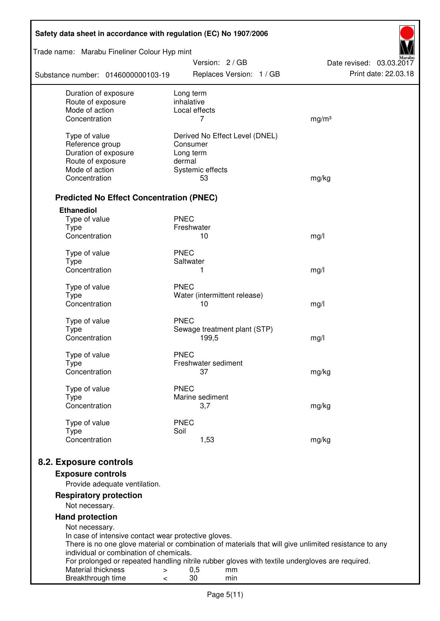| Safety data sheet in accordance with regulation (EC) No 1907/2006 |                                                                                                       |                                                  |  |  |  |
|-------------------------------------------------------------------|-------------------------------------------------------------------------------------------------------|--------------------------------------------------|--|--|--|
| Trade name: Marabu Fineliner Colour Hyp mint                      |                                                                                                       |                                                  |  |  |  |
| Substance number: 0146000000103-19                                | Version: 2 / GB<br>Replaces Version: 1 / GB                                                           | Date revised: 03.03.2017<br>Print date: 22.03.18 |  |  |  |
| Duration of exposure<br>Route of exposure                         | Long term<br>inhalative                                                                               |                                                  |  |  |  |
| Mode of action                                                    | Local effects                                                                                         |                                                  |  |  |  |
| Concentration                                                     | 7                                                                                                     | mg/m <sup>3</sup>                                |  |  |  |
| Type of value                                                     | Derived No Effect Level (DNEL)                                                                        |                                                  |  |  |  |
| Reference group                                                   | Consumer                                                                                              |                                                  |  |  |  |
| Duration of exposure                                              | Long term                                                                                             |                                                  |  |  |  |
| Route of exposure                                                 | dermal                                                                                                |                                                  |  |  |  |
| Mode of action                                                    | Systemic effects                                                                                      |                                                  |  |  |  |
| Concentration                                                     | 53                                                                                                    | mg/kg                                            |  |  |  |
| <b>Predicted No Effect Concentration (PNEC)</b>                   |                                                                                                       |                                                  |  |  |  |
| <b>Ethanediol</b>                                                 |                                                                                                       |                                                  |  |  |  |
| Type of value                                                     | <b>PNEC</b>                                                                                           |                                                  |  |  |  |
| <b>Type</b>                                                       | Freshwater                                                                                            |                                                  |  |  |  |
| Concentration                                                     | 10                                                                                                    | mg/l                                             |  |  |  |
| Type of value                                                     | <b>PNEC</b>                                                                                           |                                                  |  |  |  |
| <b>Type</b>                                                       | Saltwater                                                                                             |                                                  |  |  |  |
| Concentration                                                     | 1                                                                                                     | mg/l                                             |  |  |  |
| Type of value                                                     | <b>PNEC</b>                                                                                           |                                                  |  |  |  |
| <b>Type</b>                                                       | Water (intermittent release)                                                                          |                                                  |  |  |  |
| Concentration                                                     | 10                                                                                                    | mg/l                                             |  |  |  |
| Type of value                                                     | <b>PNEC</b>                                                                                           |                                                  |  |  |  |
| <b>Type</b>                                                       | Sewage treatment plant (STP)                                                                          |                                                  |  |  |  |
| Concentration                                                     | 199,5                                                                                                 | mg/l                                             |  |  |  |
| Type of value                                                     | <b>PNEC</b>                                                                                           |                                                  |  |  |  |
| Type                                                              | Freshwater sediment                                                                                   |                                                  |  |  |  |
| Concentration                                                     | 37                                                                                                    | mg/kg                                            |  |  |  |
| Type of value                                                     | <b>PNEC</b>                                                                                           |                                                  |  |  |  |
| Type                                                              | Marine sediment                                                                                       |                                                  |  |  |  |
| Concentration                                                     | 3,7                                                                                                   | mg/kg                                            |  |  |  |
| Type of value                                                     | <b>PNEC</b>                                                                                           |                                                  |  |  |  |
| <b>Type</b>                                                       | Soil                                                                                                  |                                                  |  |  |  |
| Concentration                                                     | 1,53                                                                                                  | mg/kg                                            |  |  |  |
| 8.2. Exposure controls                                            |                                                                                                       |                                                  |  |  |  |
| <b>Exposure controls</b>                                          |                                                                                                       |                                                  |  |  |  |
| Provide adequate ventilation.                                     |                                                                                                       |                                                  |  |  |  |
| <b>Respiratory protection</b>                                     |                                                                                                       |                                                  |  |  |  |
| Not necessary.                                                    |                                                                                                       |                                                  |  |  |  |
| <b>Hand protection</b>                                            |                                                                                                       |                                                  |  |  |  |
| Not necessary.                                                    |                                                                                                       |                                                  |  |  |  |
| In case of intensive contact wear protective gloves.              | There is no one glove material or combination of materials that will give unlimited resistance to any |                                                  |  |  |  |
| individual or combination of chemicals.                           |                                                                                                       |                                                  |  |  |  |
|                                                                   | For prolonged or repeated handling nitrile rubber gloves with textile undergloves are required.       |                                                  |  |  |  |
| Material thickness<br>$\, > \,$                                   | 0,5<br>mm                                                                                             |                                                  |  |  |  |
| Breakthrough time<br>$\,<\,$                                      | 30<br>min                                                                                             |                                                  |  |  |  |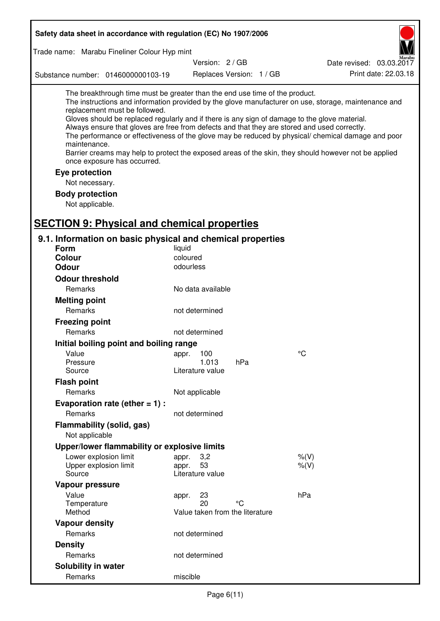| Safety data sheet in accordance with regulation (EC) No 1907/2006                                                                                                                                                                                                                                                                                                                                |                                                      |                 |                          |                                                                                                                                                                                                                                                                                                                    |  |
|--------------------------------------------------------------------------------------------------------------------------------------------------------------------------------------------------------------------------------------------------------------------------------------------------------------------------------------------------------------------------------------------------|------------------------------------------------------|-----------------|--------------------------|--------------------------------------------------------------------------------------------------------------------------------------------------------------------------------------------------------------------------------------------------------------------------------------------------------------------|--|
| Trade name: Marabu Fineliner Colour Hyp mint                                                                                                                                                                                                                                                                                                                                                     |                                                      |                 |                          |                                                                                                                                                                                                                                                                                                                    |  |
|                                                                                                                                                                                                                                                                                                                                                                                                  |                                                      | Version: 2 / GB |                          | Date revised: 03.03.2017                                                                                                                                                                                                                                                                                           |  |
| Substance number: 0146000000103-19                                                                                                                                                                                                                                                                                                                                                               |                                                      |                 | Replaces Version: 1 / GB | Print date: 22.03.18                                                                                                                                                                                                                                                                                               |  |
| The breakthrough time must be greater than the end use time of the product.<br>replacement must be followed.<br>Gloves should be replaced regularly and if there is any sign of damage to the glove material.<br>Always ensure that gloves are free from defects and that they are stored and used correctly.<br>maintenance.<br>once exposure has occurred.<br>Eye protection<br>Not necessary. |                                                      |                 |                          | The instructions and information provided by the glove manufacturer on use, storage, maintenance and<br>The performance or effectiveness of the glove may be reduced by physical/ chemical damage and poor<br>Barrier creams may help to protect the exposed areas of the skin, they should however not be applied |  |
| <b>Body protection</b><br>Not applicable.                                                                                                                                                                                                                                                                                                                                                        |                                                      |                 |                          |                                                                                                                                                                                                                                                                                                                    |  |
| <b>SECTION 9: Physical and chemical properties</b>                                                                                                                                                                                                                                                                                                                                               |                                                      |                 |                          |                                                                                                                                                                                                                                                                                                                    |  |
| 9.1. Information on basic physical and chemical properties                                                                                                                                                                                                                                                                                                                                       |                                                      |                 |                          |                                                                                                                                                                                                                                                                                                                    |  |
| Form                                                                                                                                                                                                                                                                                                                                                                                             | liquid                                               |                 |                          |                                                                                                                                                                                                                                                                                                                    |  |
| <b>Colour</b>                                                                                                                                                                                                                                                                                                                                                                                    | coloured                                             |                 |                          |                                                                                                                                                                                                                                                                                                                    |  |
| <b>Odour</b>                                                                                                                                                                                                                                                                                                                                                                                     | odourless                                            |                 |                          |                                                                                                                                                                                                                                                                                                                    |  |
| <b>Odour threshold</b>                                                                                                                                                                                                                                                                                                                                                                           |                                                      |                 |                          |                                                                                                                                                                                                                                                                                                                    |  |
| Remarks                                                                                                                                                                                                                                                                                                                                                                                          | No data available                                    |                 |                          |                                                                                                                                                                                                                                                                                                                    |  |
| <b>Melting point</b>                                                                                                                                                                                                                                                                                                                                                                             |                                                      |                 |                          |                                                                                                                                                                                                                                                                                                                    |  |
| Remarks                                                                                                                                                                                                                                                                                                                                                                                          | not determined                                       |                 |                          |                                                                                                                                                                                                                                                                                                                    |  |
| <b>Freezing point</b>                                                                                                                                                                                                                                                                                                                                                                            |                                                      |                 |                          |                                                                                                                                                                                                                                                                                                                    |  |
| Remarks                                                                                                                                                                                                                                                                                                                                                                                          | not determined                                       |                 |                          |                                                                                                                                                                                                                                                                                                                    |  |
| Initial boiling point and boiling range                                                                                                                                                                                                                                                                                                                                                          |                                                      |                 |                          |                                                                                                                                                                                                                                                                                                                    |  |
| Value                                                                                                                                                                                                                                                                                                                                                                                            | 100<br>appr.                                         |                 |                          | °C                                                                                                                                                                                                                                                                                                                 |  |
| Pressure<br>Source                                                                                                                                                                                                                                                                                                                                                                               | Literature value                                     | 1.013           | hPa                      |                                                                                                                                                                                                                                                                                                                    |  |
|                                                                                                                                                                                                                                                                                                                                                                                                  |                                                      |                 |                          |                                                                                                                                                                                                                                                                                                                    |  |
| <b>Flash point</b><br>Remarks                                                                                                                                                                                                                                                                                                                                                                    |                                                      |                 |                          |                                                                                                                                                                                                                                                                                                                    |  |
|                                                                                                                                                                                                                                                                                                                                                                                                  | Not applicable                                       |                 |                          |                                                                                                                                                                                                                                                                                                                    |  |
| Evaporation rate (ether $= 1$ ) :<br>Remarks                                                                                                                                                                                                                                                                                                                                                     | not determined                                       |                 |                          |                                                                                                                                                                                                                                                                                                                    |  |
| Flammability (solid, gas)                                                                                                                                                                                                                                                                                                                                                                        |                                                      |                 |                          |                                                                                                                                                                                                                                                                                                                    |  |
| Not applicable                                                                                                                                                                                                                                                                                                                                                                                   |                                                      |                 |                          |                                                                                                                                                                                                                                                                                                                    |  |
| Upper/lower flammability or explosive limits                                                                                                                                                                                                                                                                                                                                                     |                                                      |                 |                          |                                                                                                                                                                                                                                                                                                                    |  |
| Lower explosion limit<br>Upper explosion limit<br>Source                                                                                                                                                                                                                                                                                                                                         | 3,2<br>appr.<br>53<br>appr.<br>Literature value      |                 |                          | $%$ (V)<br>$%$ $(V)$                                                                                                                                                                                                                                                                                               |  |
| Vapour pressure                                                                                                                                                                                                                                                                                                                                                                                  |                                                      |                 |                          |                                                                                                                                                                                                                                                                                                                    |  |
| Value<br>Temperature<br>Method                                                                                                                                                                                                                                                                                                                                                                   | 23<br>appr.<br>20<br>Value taken from the literature |                 | °C                       | hPa                                                                                                                                                                                                                                                                                                                |  |
| <b>Vapour density</b>                                                                                                                                                                                                                                                                                                                                                                            |                                                      |                 |                          |                                                                                                                                                                                                                                                                                                                    |  |
| Remarks                                                                                                                                                                                                                                                                                                                                                                                          | not determined                                       |                 |                          |                                                                                                                                                                                                                                                                                                                    |  |
| <b>Density</b>                                                                                                                                                                                                                                                                                                                                                                                   |                                                      |                 |                          |                                                                                                                                                                                                                                                                                                                    |  |
| Remarks                                                                                                                                                                                                                                                                                                                                                                                          | not determined                                       |                 |                          |                                                                                                                                                                                                                                                                                                                    |  |
| Solubility in water                                                                                                                                                                                                                                                                                                                                                                              |                                                      |                 |                          |                                                                                                                                                                                                                                                                                                                    |  |
| Remarks                                                                                                                                                                                                                                                                                                                                                                                          | miscible                                             |                 |                          |                                                                                                                                                                                                                                                                                                                    |  |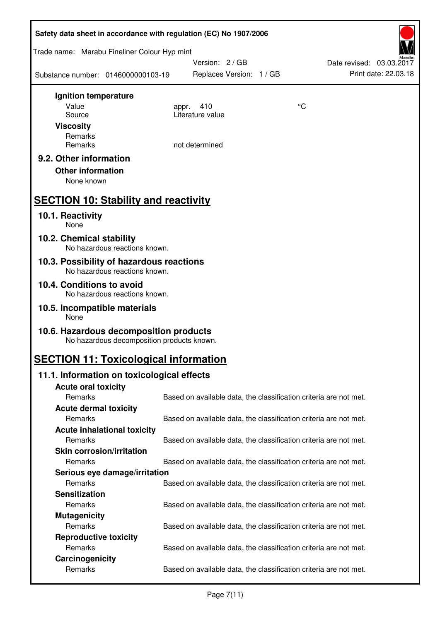| Safety data sheet in accordance with regulation (EC) No 1907/2006         |                                                                   |                 |                                                  |  |  |  |
|---------------------------------------------------------------------------|-------------------------------------------------------------------|-----------------|--------------------------------------------------|--|--|--|
| Trade name: Marabu Fineliner Colour Hyp mint                              |                                                                   |                 |                                                  |  |  |  |
| Substance number: 0146000000103-19                                        | Version: 2/GB<br>Replaces Version: 1 / GB                         |                 | Date revised: 03.03.2017<br>Print date: 22.03.18 |  |  |  |
| Ignition temperature                                                      |                                                                   |                 |                                                  |  |  |  |
| Value                                                                     | 410<br>appr.                                                      | $\rm ^{\circ}C$ |                                                  |  |  |  |
| Source                                                                    | Literature value                                                  |                 |                                                  |  |  |  |
| <b>Viscosity</b><br>Remarks                                               |                                                                   |                 |                                                  |  |  |  |
| Remarks                                                                   | not determined                                                    |                 |                                                  |  |  |  |
| 9.2. Other information                                                    |                                                                   |                 |                                                  |  |  |  |
| <b>Other information</b>                                                  |                                                                   |                 |                                                  |  |  |  |
| None known                                                                |                                                                   |                 |                                                  |  |  |  |
| <b>SECTION 10: Stability and reactivity</b>                               |                                                                   |                 |                                                  |  |  |  |
| 10.1. Reactivity<br>None                                                  |                                                                   |                 |                                                  |  |  |  |
| 10.2. Chemical stability<br>No hazardous reactions known.                 |                                                                   |                 |                                                  |  |  |  |
| 10.3. Possibility of hazardous reactions<br>No hazardous reactions known. |                                                                   |                 |                                                  |  |  |  |
| 10.4. Conditions to avoid<br>No hazardous reactions known.                |                                                                   |                 |                                                  |  |  |  |
| 10.5. Incompatible materials                                              |                                                                   |                 |                                                  |  |  |  |
| None<br>10.6. Hazardous decomposition products                            |                                                                   |                 |                                                  |  |  |  |
| No hazardous decomposition products known.                                |                                                                   |                 |                                                  |  |  |  |
| <b>SECTION 11: Toxicological information</b>                              |                                                                   |                 |                                                  |  |  |  |
| 11.1. Information on toxicological effects                                |                                                                   |                 |                                                  |  |  |  |
| <b>Acute oral toxicity</b>                                                |                                                                   |                 |                                                  |  |  |  |
| Remarks                                                                   | Based on available data, the classification criteria are not met. |                 |                                                  |  |  |  |
| <b>Acute dermal toxicity</b>                                              |                                                                   |                 |                                                  |  |  |  |
| Remarks                                                                   | Based on available data, the classification criteria are not met. |                 |                                                  |  |  |  |
| <b>Acute inhalational toxicity</b>                                        |                                                                   |                 |                                                  |  |  |  |
| Remarks                                                                   | Based on available data, the classification criteria are not met. |                 |                                                  |  |  |  |
| <b>Skin corrosion/irritation</b><br>Remarks                               | Based on available data, the classification criteria are not met. |                 |                                                  |  |  |  |
| Serious eye damage/irritation                                             |                                                                   |                 |                                                  |  |  |  |
| Remarks                                                                   | Based on available data, the classification criteria are not met. |                 |                                                  |  |  |  |
| <b>Sensitization</b>                                                      |                                                                   |                 |                                                  |  |  |  |
| Remarks                                                                   | Based on available data, the classification criteria are not met. |                 |                                                  |  |  |  |
| <b>Mutagenicity</b>                                                       |                                                                   |                 |                                                  |  |  |  |
| Remarks                                                                   | Based on available data, the classification criteria are not met. |                 |                                                  |  |  |  |
| <b>Reproductive toxicity</b>                                              |                                                                   |                 |                                                  |  |  |  |
| Remarks                                                                   | Based on available data, the classification criteria are not met. |                 |                                                  |  |  |  |
| Carcinogenicity                                                           |                                                                   |                 |                                                  |  |  |  |
| Remarks                                                                   | Based on available data, the classification criteria are not met. |                 |                                                  |  |  |  |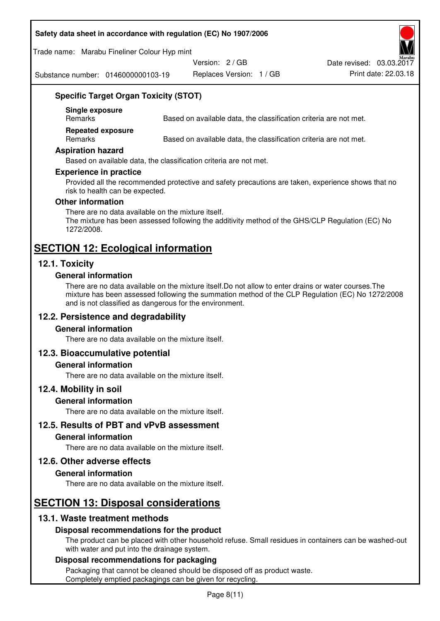#### **Safety data sheet in accordance with regulation (EC) No 1907/2006**

Trade name: Marabu Fineliner Colour Hyp mint

Version: 2 / GB

Date revised: 03.03.2017

Substance number: 0146000000103-19

Replaces Version: 1 / GB Print date: 22.03.18

## **Specific Target Organ Toxicity (STOT)**

**Single exposure** 

Based on available data, the classification criteria are not met.

**Repeated exposure** 

Remarks Based on available data, the classification criteria are not met.

#### **Aspiration hazard**

Based on available data, the classification criteria are not met.

#### **Experience in practice**

Provided all the recommended protective and safety precautions are taken, experience shows that no risk to health can be expected.

#### **Other information**

There are no data available on the mixture itself. The mixture has been assessed following the additivity method of the GHS/CLP Regulation (EC) No 1272/2008.

## **SECTION 12: Ecological information**

## **12.1. Toxicity**

#### **General information**

There are no data available on the mixture itself.Do not allow to enter drains or water courses.The mixture has been assessed following the summation method of the CLP Regulation (EC) No 1272/2008 and is not classified as dangerous for the environment.

## **12.2. Persistence and degradability**

#### **General information**

There are no data available on the mixture itself.

## **12.3. Bioaccumulative potential**

#### **General information**

There are no data available on the mixture itself.

#### **12.4. Mobility in soil**

#### **General information**

There are no data available on the mixture itself.

**12.5. Results of PBT and vPvB assessment** 

#### **General information**

There are no data available on the mixture itself.

#### **12.6. Other adverse effects**

#### **General information**

There are no data available on the mixture itself.

# **SECTION 13: Disposal considerations**

## **13.1. Waste treatment methods**

## **Disposal recommendations for the product**

The product can be placed with other household refuse. Small residues in containers can be washed-out with water and put into the drainage system.

#### **Disposal recommendations for packaging**

Packaging that cannot be cleaned should be disposed off as product waste. Completely emptied packagings can be given for recycling.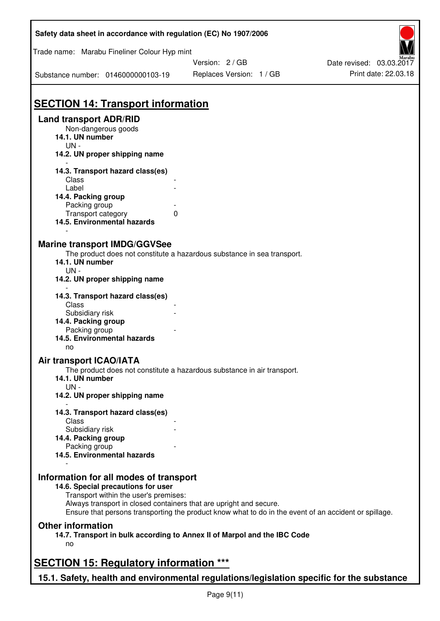| Safety data sheet in accordance with regulation (EC) No 1907/2006                                                                                                                                                                                                                                    |                                                                                           |                          |  |  |  |  |
|------------------------------------------------------------------------------------------------------------------------------------------------------------------------------------------------------------------------------------------------------------------------------------------------------|-------------------------------------------------------------------------------------------|--------------------------|--|--|--|--|
| Trade name: Marabu Fineliner Colour Hyp mint                                                                                                                                                                                                                                                         |                                                                                           |                          |  |  |  |  |
|                                                                                                                                                                                                                                                                                                      | Version: 2 / GB                                                                           | Date revised: 03.03.2017 |  |  |  |  |
| Substance number: 0146000000103-19                                                                                                                                                                                                                                                                   | Replaces Version: 1 / GB                                                                  | Print date: 22.03.18     |  |  |  |  |
| <b>SECTION 14: Transport information</b>                                                                                                                                                                                                                                                             |                                                                                           |                          |  |  |  |  |
| <b>Land transport ADR/RID</b><br>Non-dangerous goods<br>14.1. UN number<br>UN-                                                                                                                                                                                                                       |                                                                                           |                          |  |  |  |  |
| 14.2. UN proper shipping name                                                                                                                                                                                                                                                                        |                                                                                           |                          |  |  |  |  |
| 14.3. Transport hazard class(es)<br>Class<br>Label<br>14.4. Packing group<br>Packing group<br>Transport category<br>14.5. Environmental hazards                                                                                                                                                      | 0                                                                                         |                          |  |  |  |  |
| <b>Marine transport IMDG/GGVSee</b><br>14.1. UN number<br>UN -<br>14.2. UN proper shipping name                                                                                                                                                                                                      | The product does not constitute a hazardous substance in sea transport.                   |                          |  |  |  |  |
| 14.3. Transport hazard class(es)<br>Class<br>Subsidiary risk<br>14.4. Packing group<br>Packing group<br>14.5. Environmental hazards<br>no                                                                                                                                                            |                                                                                           |                          |  |  |  |  |
| Air transport ICAO/IATA<br>14.1. UN number<br>$UN -$<br>14.2. UN proper shipping name                                                                                                                                                                                                                | The product does not constitute a hazardous substance in air transport.                   |                          |  |  |  |  |
| 14.3. Transport hazard class(es)                                                                                                                                                                                                                                                                     |                                                                                           |                          |  |  |  |  |
| Class<br>Subsidiary risk<br>14.4. Packing group<br>Packing group<br>14.5. Environmental hazards                                                                                                                                                                                                      |                                                                                           |                          |  |  |  |  |
| Information for all modes of transport<br>14.6. Special precautions for user<br>Transport within the user's premises:<br>Always transport in closed containers that are upright and secure.<br>Ensure that persons transporting the product know what to do in the event of an accident or spillage. |                                                                                           |                          |  |  |  |  |
| <b>Other information</b><br>no                                                                                                                                                                                                                                                                       | 14.7. Transport in bulk according to Annex II of Marpol and the IBC Code                  |                          |  |  |  |  |
| <b>SECTION 15: Regulatory information ***</b>                                                                                                                                                                                                                                                        |                                                                                           |                          |  |  |  |  |
|                                                                                                                                                                                                                                                                                                      | 15.1. Safety, health and environmental regulations/legislation specific for the substance |                          |  |  |  |  |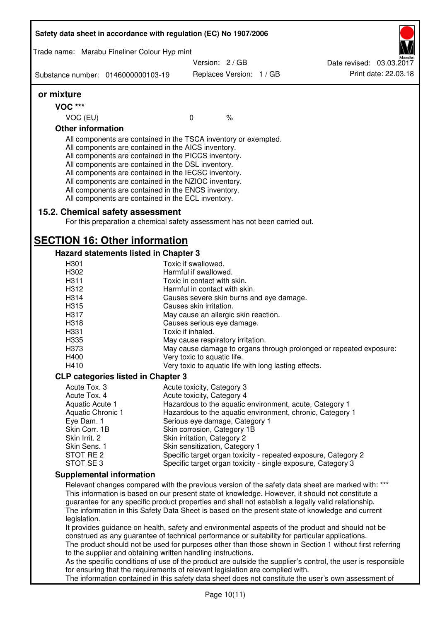| Trade name: Marabu Fineliner Colour Hyp mint                                                                                                                                                                                                                                                                                                                                                                                                                      |                                                       |                          |                                                                                                                                                                                                                                                                                                           |
|-------------------------------------------------------------------------------------------------------------------------------------------------------------------------------------------------------------------------------------------------------------------------------------------------------------------------------------------------------------------------------------------------------------------------------------------------------------------|-------------------------------------------------------|--------------------------|-----------------------------------------------------------------------------------------------------------------------------------------------------------------------------------------------------------------------------------------------------------------------------------------------------------|
|                                                                                                                                                                                                                                                                                                                                                                                                                                                                   | Version: 2 / GB                                       |                          | Date revised: 03.03.2017                                                                                                                                                                                                                                                                                  |
| Substance number: 0146000000103-19                                                                                                                                                                                                                                                                                                                                                                                                                                |                                                       | Replaces Version: 1 / GB | Print date: 22.03.18                                                                                                                                                                                                                                                                                      |
| or mixture                                                                                                                                                                                                                                                                                                                                                                                                                                                        |                                                       |                          |                                                                                                                                                                                                                                                                                                           |
| <b>VOC ***</b>                                                                                                                                                                                                                                                                                                                                                                                                                                                    |                                                       |                          |                                                                                                                                                                                                                                                                                                           |
| VOC (EU)                                                                                                                                                                                                                                                                                                                                                                                                                                                          | $\mathbf{0}$                                          | $\%$                     |                                                                                                                                                                                                                                                                                                           |
| <b>Other information</b>                                                                                                                                                                                                                                                                                                                                                                                                                                          |                                                       |                          |                                                                                                                                                                                                                                                                                                           |
| All components are contained in the TSCA inventory or exempted.<br>All components are contained in the AICS inventory.<br>All components are contained in the PICCS inventory.<br>All components are contained in the DSL inventory.<br>All components are contained in the IECSC inventory.<br>All components are contained in the NZIOC inventory.<br>All components are contained in the ENCS inventory.<br>All components are contained in the ECL inventory. |                                                       |                          |                                                                                                                                                                                                                                                                                                           |
| 15.2. Chemical safety assessment<br>For this preparation a chemical safety assessment has not been carried out.                                                                                                                                                                                                                                                                                                                                                   |                                                       |                          |                                                                                                                                                                                                                                                                                                           |
| <b>SECTION 16: Other information</b>                                                                                                                                                                                                                                                                                                                                                                                                                              |                                                       |                          |                                                                                                                                                                                                                                                                                                           |
| <b>Hazard statements listed in Chapter 3</b>                                                                                                                                                                                                                                                                                                                                                                                                                      |                                                       |                          |                                                                                                                                                                                                                                                                                                           |
| H301                                                                                                                                                                                                                                                                                                                                                                                                                                                              | Toxic if swallowed.                                   |                          |                                                                                                                                                                                                                                                                                                           |
| H302                                                                                                                                                                                                                                                                                                                                                                                                                                                              | Harmful if swallowed.                                 |                          |                                                                                                                                                                                                                                                                                                           |
| H311                                                                                                                                                                                                                                                                                                                                                                                                                                                              | Toxic in contact with skin.                           |                          |                                                                                                                                                                                                                                                                                                           |
| H312                                                                                                                                                                                                                                                                                                                                                                                                                                                              | Harmful in contact with skin.                         |                          |                                                                                                                                                                                                                                                                                                           |
| H314                                                                                                                                                                                                                                                                                                                                                                                                                                                              | Causes severe skin burns and eye damage.              |                          |                                                                                                                                                                                                                                                                                                           |
| H315                                                                                                                                                                                                                                                                                                                                                                                                                                                              | Causes skin irritation.                               |                          |                                                                                                                                                                                                                                                                                                           |
| H317                                                                                                                                                                                                                                                                                                                                                                                                                                                              | May cause an allergic skin reaction.                  |                          |                                                                                                                                                                                                                                                                                                           |
| H318                                                                                                                                                                                                                                                                                                                                                                                                                                                              | Causes serious eye damage.                            |                          |                                                                                                                                                                                                                                                                                                           |
| H331                                                                                                                                                                                                                                                                                                                                                                                                                                                              | Toxic if inhaled.                                     |                          |                                                                                                                                                                                                                                                                                                           |
| H335                                                                                                                                                                                                                                                                                                                                                                                                                                                              | May cause respiratory irritation.                     |                          |                                                                                                                                                                                                                                                                                                           |
| H373                                                                                                                                                                                                                                                                                                                                                                                                                                                              |                                                       |                          | May cause damage to organs through prolonged or repeated exposure:                                                                                                                                                                                                                                        |
| H400                                                                                                                                                                                                                                                                                                                                                                                                                                                              | Very toxic to aquatic life.                           |                          |                                                                                                                                                                                                                                                                                                           |
| H410                                                                                                                                                                                                                                                                                                                                                                                                                                                              | Very toxic to aquatic life with long lasting effects. |                          |                                                                                                                                                                                                                                                                                                           |
| <b>CLP categories listed in Chapter 3</b>                                                                                                                                                                                                                                                                                                                                                                                                                         |                                                       |                          |                                                                                                                                                                                                                                                                                                           |
| Acute Tox. 3                                                                                                                                                                                                                                                                                                                                                                                                                                                      | Acute toxicity, Category 3                            |                          |                                                                                                                                                                                                                                                                                                           |
| Acute Tox. 4<br>Aquatic Acute 1                                                                                                                                                                                                                                                                                                                                                                                                                                   | Acute toxicity, Category 4                            |                          |                                                                                                                                                                                                                                                                                                           |
| Aquatic Chronic 1                                                                                                                                                                                                                                                                                                                                                                                                                                                 |                                                       |                          | Hazardous to the aquatic environment, acute, Category 1<br>Hazardous to the aquatic environment, chronic, Category 1                                                                                                                                                                                      |
| Eye Dam. 1                                                                                                                                                                                                                                                                                                                                                                                                                                                        | Serious eye damage, Category 1                        |                          |                                                                                                                                                                                                                                                                                                           |
| Skin Corr. 1B                                                                                                                                                                                                                                                                                                                                                                                                                                                     | Skin corrosion, Category 1B                           |                          |                                                                                                                                                                                                                                                                                                           |
| Skin Irrit. 2                                                                                                                                                                                                                                                                                                                                                                                                                                                     | Skin irritation, Category 2                           |                          |                                                                                                                                                                                                                                                                                                           |
| Skin Sens. 1                                                                                                                                                                                                                                                                                                                                                                                                                                                      | Skin sensitization, Category 1                        |                          |                                                                                                                                                                                                                                                                                                           |
| STOT RE 2                                                                                                                                                                                                                                                                                                                                                                                                                                                         |                                                       |                          | Specific target organ toxicity - repeated exposure, Category 2                                                                                                                                                                                                                                            |
| STOT SE3                                                                                                                                                                                                                                                                                                                                                                                                                                                          |                                                       |                          | Specific target organ toxicity - single exposure, Category 3                                                                                                                                                                                                                                              |
| <b>Supplemental information</b>                                                                                                                                                                                                                                                                                                                                                                                                                                   |                                                       |                          |                                                                                                                                                                                                                                                                                                           |
| guarantee for any specific product properties and shall not establish a legally valid relationship.                                                                                                                                                                                                                                                                                                                                                               |                                                       |                          | Relevant changes compared with the previous version of the safety data sheet are marked with: ***<br>This information is based on our present state of knowledge. However, it should not constitute a<br>The information in this Safety Data Sheet is based on the present state of knowledge and current |
| legislation.<br>construed as any guarantee of technical performance or suitability for particular applications.<br>to the supplier and obtaining written handling instructions.                                                                                                                                                                                                                                                                                   |                                                       |                          | It provides guidance on health, safety and environmental aspects of the product and should not be<br>The product should not be used for purposes other than those shown in Section 1 without first referring                                                                                              |
|                                                                                                                                                                                                                                                                                                                                                                                                                                                                   |                                                       |                          | As the specific conditions of use of the product are outside the supplier's control, the user is responsible                                                                                                                                                                                              |
| for ensuring that the requirements of relevant legislation are complied with.                                                                                                                                                                                                                                                                                                                                                                                     |                                                       |                          |                                                                                                                                                                                                                                                                                                           |
|                                                                                                                                                                                                                                                                                                                                                                                                                                                                   |                                                       |                          | The information contained in this safety data sheet does not constitute the user's own assessment of                                                                                                                                                                                                      |